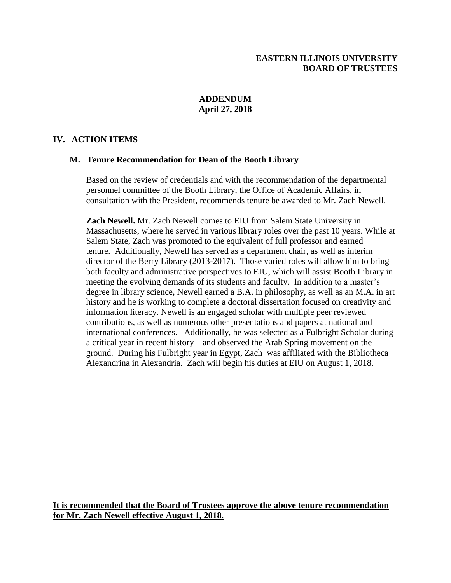## **EASTERN ILLINOIS UNIVERSITY BOARD OF TRUSTEES**

## **ADDENDUM April 27, 2018**

## **IV. ACTION ITEMS**

## **M. Tenure Recommendation for Dean of the Booth Library**

Based on the review of credentials and with the recommendation of the departmental personnel committee of the Booth Library, the Office of Academic Affairs, in consultation with the President, recommends tenure be awarded to Mr. Zach Newell.

**Zach Newell.** Mr. Zach Newell comes to EIU from Salem State University in Massachusetts, where he served in various library roles over the past 10 years. While at Salem State, Zach was promoted to the equivalent of full professor and earned tenure. Additionally, Newell has served as a department chair, as well as interim director of the Berry Library (2013-2017). Those varied roles will allow him to bring both faculty and administrative perspectives to EIU, which will assist Booth Library in meeting the evolving demands of its students and faculty. In addition to a master's degree in library science, Newell earned a B.A. in philosophy, as well as an M.A. in art history and he is working to complete a doctoral dissertation focused on creativity and information literacy. Newell is an engaged scholar with multiple peer reviewed contributions, as well as numerous other presentations and papers at national and international conferences. Additionally, he was selected as a Fulbright Scholar during a critical year in recent history—and observed the Arab Spring movement on the ground. During his Fulbright year in Egypt, Zach was affiliated with the Bibliotheca Alexandrina in Alexandria. Zach will begin his duties at EIU on August 1, 2018.

**It is recommended that the Board of Trustees approve the above tenure recommendation for Mr. Zach Newell effective August 1, 2018.**